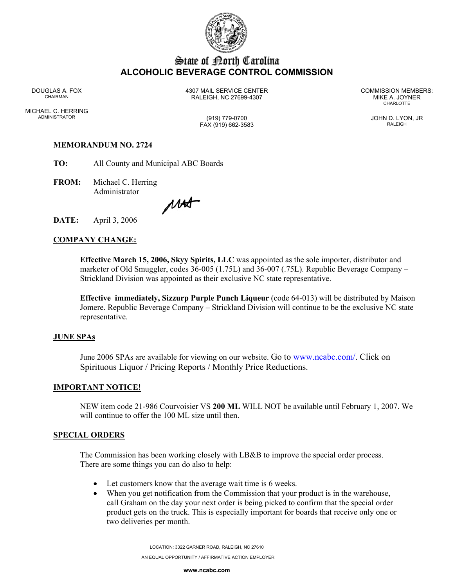

# State of Borth Carolina **ALCOHOLIC BEVERAGE CONTROL COMMISSION**

MICHAEL C. HERRING ADMINISTRATOR (919) 779-0700 JOHN D. LYON, JR

DOUGLAS A. FOX 4307 MAIL SERVICE CENTER COMMISSION MEMBERS: CHAIRMAN RALEIGH, NC 27699-4307 MIKE A. JOYNER

**CHARLOTTE** 

FAX (919) 662-3583 RALEIGH

# **MEMORANDUM NO. 2724**

**TO:** All County and Municipal ABC Boards

**FROM:** Michael C. Herring Administrator

MAS

**DATE:** April 3, 2006

## **COMPANY CHANGE:**

**Effective March 15, 2006, Skyy Spirits, LLC** was appointed as the sole importer, distributor and marketer of Old Smuggler, codes 36-005 (1.75L) and 36-007 (.75L). Republic Beverage Company – Strickland Division was appointed as their exclusive NC state representative.

**Effective immediately, Sizzurp Purple Punch Liqueur** (code 64-013) will be distributed by Maison Jomere. Republic Beverage Company – Strickland Division will continue to be the exclusive NC state representative.

#### **JUNE SPAs**

June 2006 SPAs are available for viewing on our website. Go to www.ncabc.com/. Click on Spirituous Liquor / Pricing Reports / Monthly Price Reductions.

#### **IMPORTANT NOTICE!**

NEW item code 21-986 Courvoisier VS **200 ML** WILL NOT be available until February 1, 2007. We will continue to offer the 100 ML size until then.

#### **SPECIAL ORDERS**

The Commission has been working closely with LB&B to improve the special order process. There are some things you can do also to help:

- Let customers know that the average wait time is 6 weeks.
- When you get notification from the Commission that your product is in the warehouse, call Graham on the day your next order is being picked to confirm that the special order product gets on the truck. This is especially important for boards that receive only one or two deliveries per month.